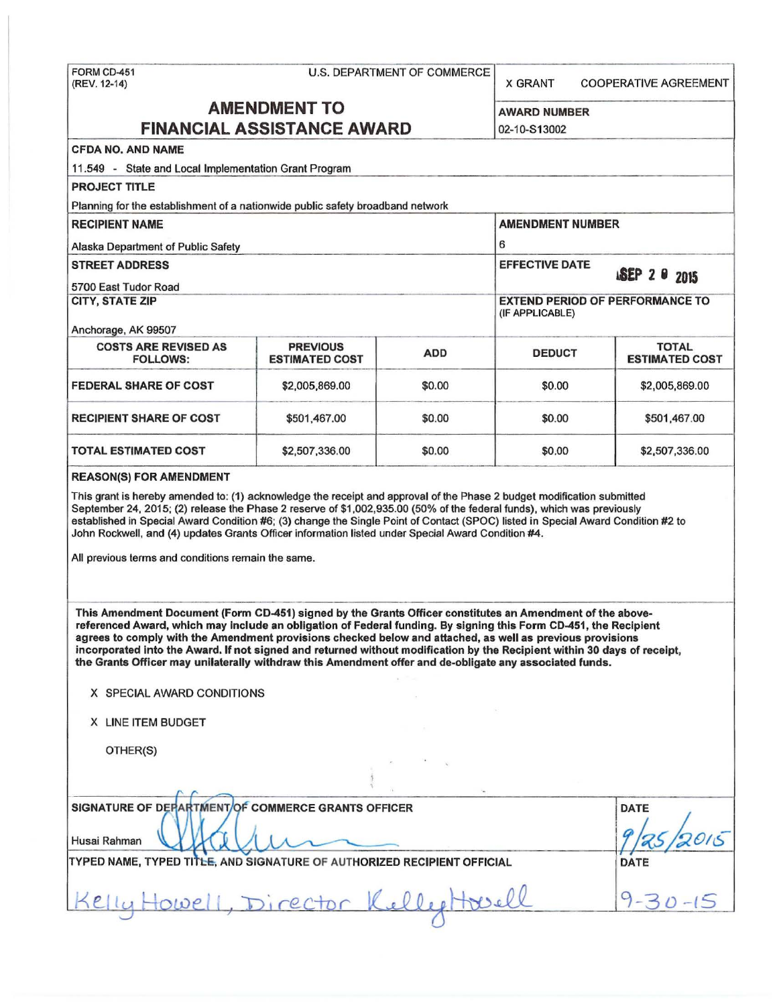## FORM CD-451 U.S. DEPARTMENT OF COMMERCE

(REV. 12-14) CONDENSIGNERS CONDENSIGNERS ARE AGREEMENT COOPERATIVE AGREEMENT

# **AMENDMENT TO** AWARD NUMBER

| <b>AMENDMENT TO</b>                                                                                                                                                                                                                                                                                                                                                                                                                                                                                                                                                               |                                          |                                                           | <b>AWARD NUMBER</b>     |                                       |
|-----------------------------------------------------------------------------------------------------------------------------------------------------------------------------------------------------------------------------------------------------------------------------------------------------------------------------------------------------------------------------------------------------------------------------------------------------------------------------------------------------------------------------------------------------------------------------------|------------------------------------------|-----------------------------------------------------------|-------------------------|---------------------------------------|
| <b>FINANCIAL ASSISTANCE AWARD</b>                                                                                                                                                                                                                                                                                                                                                                                                                                                                                                                                                 |                                          |                                                           | 02-10-S13002            |                                       |
| <b>CFDA NO. AND NAME</b>                                                                                                                                                                                                                                                                                                                                                                                                                                                                                                                                                          |                                          |                                                           |                         |                                       |
| 11.549 - State and Local Implementation Grant Program                                                                                                                                                                                                                                                                                                                                                                                                                                                                                                                             |                                          |                                                           |                         |                                       |
| <b>PROJECT TITLE</b>                                                                                                                                                                                                                                                                                                                                                                                                                                                                                                                                                              |                                          |                                                           |                         |                                       |
| Planning for the establishment of a nationwide public safety broadband network                                                                                                                                                                                                                                                                                                                                                                                                                                                                                                    |                                          |                                                           |                         |                                       |
| <b>RECIPIENT NAME</b>                                                                                                                                                                                                                                                                                                                                                                                                                                                                                                                                                             |                                          |                                                           | <b>AMENDMENT NUMBER</b> |                                       |
| Alaska Department of Public Safety                                                                                                                                                                                                                                                                                                                                                                                                                                                                                                                                                |                                          |                                                           | 6                       |                                       |
| <b>STREET ADDRESS</b>                                                                                                                                                                                                                                                                                                                                                                                                                                                                                                                                                             |                                          |                                                           | <b>EFFECTIVE DATE</b>   | <b>ISEP 2 0 2015</b>                  |
| 5700 East Tudor Road                                                                                                                                                                                                                                                                                                                                                                                                                                                                                                                                                              |                                          |                                                           |                         |                                       |
| <b>CITY, STATE ZIP</b>                                                                                                                                                                                                                                                                                                                                                                                                                                                                                                                                                            |                                          | <b>EXTEND PERIOD OF PERFORMANCE TO</b><br>(IF APPLICABLE) |                         |                                       |
| Anchorage, AK 99507                                                                                                                                                                                                                                                                                                                                                                                                                                                                                                                                                               |                                          |                                                           |                         |                                       |
| <b>COSTS ARE REVISED AS</b><br><b>FOLLOWS:</b>                                                                                                                                                                                                                                                                                                                                                                                                                                                                                                                                    | <b>PREVIOUS</b><br><b>ESTIMATED COST</b> | <b>ADD</b>                                                | <b>DEDUCT</b>           | <b>TOTAL</b><br><b>ESTIMATED COST</b> |
| <b>FEDERAL SHARE OF COST</b>                                                                                                                                                                                                                                                                                                                                                                                                                                                                                                                                                      | \$2,005,869.00                           | \$0.00                                                    | \$0.00                  | \$2,005,869.00                        |
| <b>RECIPIENT SHARE OF COST</b>                                                                                                                                                                                                                                                                                                                                                                                                                                                                                                                                                    | \$501,467.00                             | \$0.00                                                    | \$0.00                  | \$501,467.00                          |
| <b>TOTAL ESTIMATED COST</b>                                                                                                                                                                                                                                                                                                                                                                                                                                                                                                                                                       | \$2,507,336.00                           | \$0.00                                                    | \$0.00                  | \$2,507,336.00                        |
| established in Special Award Condition #6; (3) change the Single Point of Contact (SPOC) listed in Special Award Condition #2 to<br>John Rockwell, and (4) updates Grants Officer information listed under Special Award Condition #4.<br>All previous terms and conditions remain the same.                                                                                                                                                                                                                                                                                      |                                          |                                                           |                         |                                       |
| This Amendment Document (Form CD-451) signed by the Grants Officer constitutes an Amendment of the above-<br>referenced Award, which may include an obligation of Federal funding. By signing this Form CD-451, the Recipient<br>agrees to comply with the Amendment provisions checked below and attached, as well as previous provisions<br>incorporated into the Award. If not signed and returned without modification by the Recipient within 30 days of receipt,<br>the Grants Officer may unilaterally withdraw this Amendment offer and de-obligate any associated funds. |                                          |                                                           |                         |                                       |
| X SPECIAL AWARD CONDITIONS                                                                                                                                                                                                                                                                                                                                                                                                                                                                                                                                                        |                                          |                                                           |                         |                                       |
| X LINE ITEM BUDGET                                                                                                                                                                                                                                                                                                                                                                                                                                                                                                                                                                |                                          |                                                           |                         |                                       |
| OTHER(S)                                                                                                                                                                                                                                                                                                                                                                                                                                                                                                                                                                          |                                          |                                                           |                         |                                       |
|                                                                                                                                                                                                                                                                                                                                                                                                                                                                                                                                                                                   |                                          |                                                           |                         |                                       |
|                                                                                                                                                                                                                                                                                                                                                                                                                                                                                                                                                                                   |                                          |                                                           |                         |                                       |
| SIGNATURE OF DEPARTMENT/OF COMMERCE GRANTS OFFICER                                                                                                                                                                                                                                                                                                                                                                                                                                                                                                                                |                                          |                                                           |                         | <b>DATE</b>                           |
| Husai Rahman                                                                                                                                                                                                                                                                                                                                                                                                                                                                                                                                                                      |                                          |                                                           |                         |                                       |

TYPED NAME, TYPED TITLE, AND SIGNATURE OF AUTHORIZED RECIPIENT OFFICIAL DATE DATE